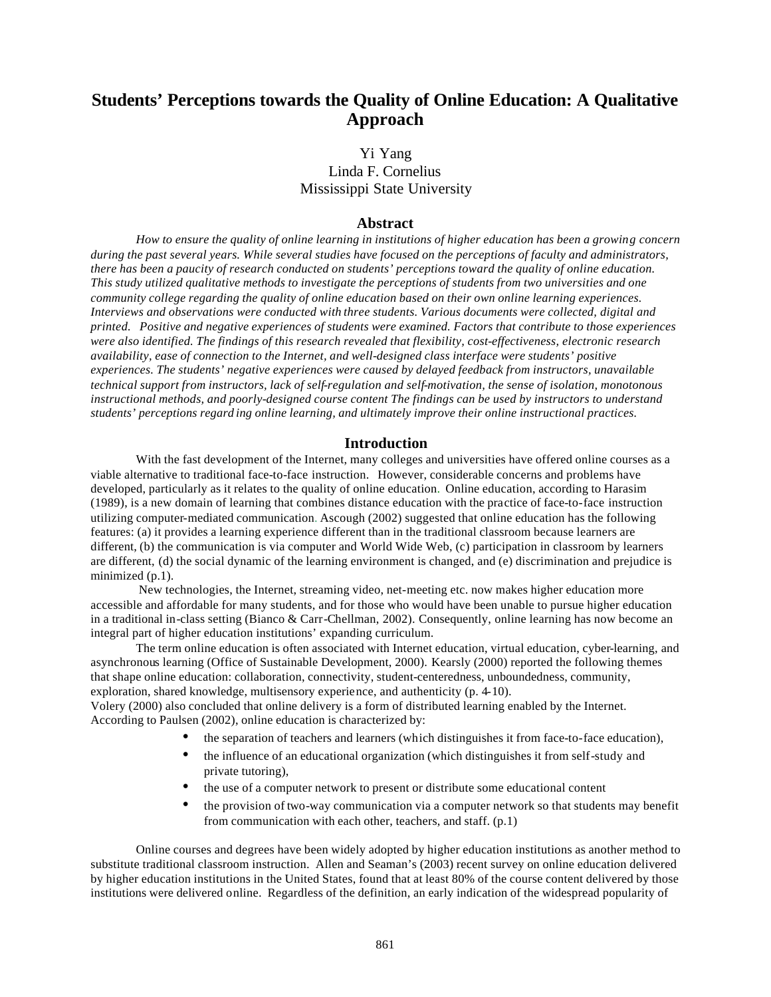# **Students' Perceptions towards the Quality of Online Education: A Qualitative Approach**

Yi Yang Linda F. Cornelius Mississippi State University

# **Abstract**

*How to ensure the quality of online learning in institutions of higher education has been a growing concern during the past several years. While several studies have focused on the perceptions of faculty and administrators, there has been a paucity of research conducted on students' perceptions toward the quality of online education. This study utilized qualitative methods to investigate the perceptions of students from two universities and one community college regarding the quality of online education based on their own online learning experiences. Interviews and observations were conducted with three students. Various documents were collected, digital and printed. Positive and negative experiences of students were examined. Factors that contribute to those experiences were also identified. The findings of this research revealed that flexibility, cost-effectiveness, electronic research availability, ease of connection to the Internet, and well-designed class interface were students' positive experiences. The students' negative experiences were caused by delayed feedback from instructors, unavailable technical support from instructors, lack of self-regulation and self-motivation, the sense of isolation, monotonous instructional methods, and poorly-designed course content The findings can be used by instructors to understand students' perceptions regard ing online learning, and ultimately improve their online instructional practices.* 

### **Introduction**

With the fast development of the Internet, many colleges and universities have offered online courses as a viable alternative to traditional face-to-face instruction. However, considerable concerns and problems have developed, particularly as it relates to the quality of online education. Online education, according to Harasim (1989), is a new domain of learning that combines distance education with the practice of face-to-face instruction utilizing computer-mediated communication. Ascough (2002) suggested that online education has the following features: (a) it provides a learning experience different than in the traditional classroom because learners are different, (b) the communication is via computer and World Wide Web, (c) participation in classroom by learners are different, (d) the social dynamic of the learning environment is changed, and (e) discrimination and prejudice is minimized (p.1).

New technologies, the Internet, streaming video, net-meeting etc. now makes higher education more accessible and affordable for many students, and for those who would have been unable to pursue higher education in a traditional in-class setting (Bianco & Carr-Chellman, 2002). Consequently, online learning has now become an integral part of higher education institutions' expanding curriculum.

The term online education is often associated with Internet education, virtual education, cyber-learning, and asynchronous learning (Office of Sustainable Development, 2000). Kearsly (2000) reported the following themes that shape online education: collaboration, connectivity, student-centeredness, unboundedness, community, exploration, shared knowledge, multisensory experience, and authenticity (p. 4-10).

Volery (2000) also concluded that online delivery is a form of distributed learning enabled by the Internet. According to Paulsen (2002), online education is characterized by:

- the separation of teachers and learners (which distinguishes it from face-to-face education),
- the influence of an educational organization (which distinguishes it from self-study and private tutoring),
- the use of a computer network to present or distribute some educational content
- the provision of two-way communication via a computer network so that students may benefit from communication with each other, teachers, and staff. (p.1)

Online courses and degrees have been widely adopted by higher education institutions as another method to substitute traditional classroom instruction. Allen and Seaman's (2003) recent survey on online education delivered by higher education institutions in the United States, found that at least 80% of the course content delivered by those institutions were delivered online. Regardless of the definition, an early indication of the widespread popularity of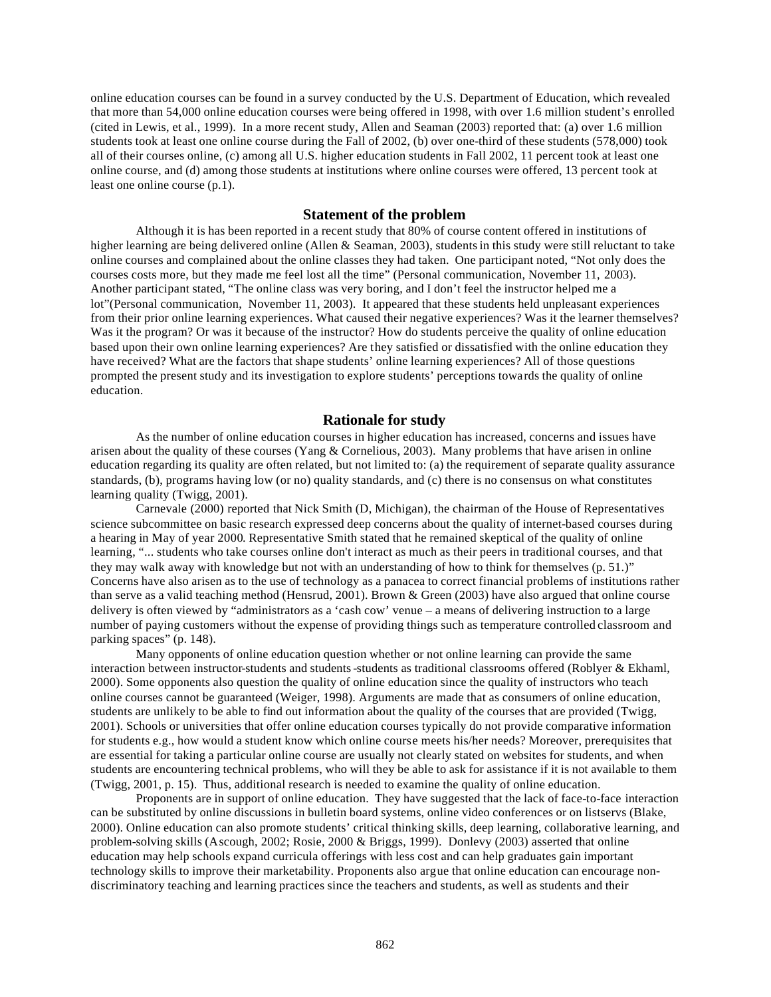online education courses can be found in a survey conducted by the U.S. Department of Education, which revealed that more than 54,000 online education courses were being offered in 1998, with over 1.6 million student's enrolled (cited in Lewis, et al., 1999). In a more recent study, Allen and Seaman (2003) reported that: (a) over 1.6 million students took at least one online course during the Fall of 2002, (b) over one-third of these students (578,000) took all of their courses online, (c) among all U.S. higher education students in Fall 2002, 11 percent took at least one online course, and (d) among those students at institutions where online courses were offered, 13 percent took at least one online course (p.1).

### **Statement of the problem**

Although it is has been reported in a recent study that 80% of course content offered in institutions of higher learning are being delivered online (Allen & Seaman, 2003), students in this study were still reluctant to take online courses and complained about the online classes they had taken. One participant noted, "Not only does the courses costs more, but they made me feel lost all the time" (Personal communication, November 11, 2003). Another participant stated, "The online class was very boring, and I don't feel the instructor helped me a lot"(Personal communication, November 11, 2003). It appeared that these students held unpleasant experiences from their prior online learning experiences. What caused their negative experiences? Was it the learner themselves? Was it the program? Or was it because of the instructor? How do students perceive the quality of online education based upon their own online learning experiences? Are they satisfied or dissatisfied with the online education they have received? What are the factors that shape students' online learning experiences? All of those questions prompted the present study and its investigation to explore students' perceptions towards the quality of online education.

### **Rationale for study**

As the number of online education courses in higher education has increased, concerns and issues have arisen about the quality of these courses (Yang & Cornelious, 2003). Many problems that have arisen in online education regarding its quality are often related, but not limited to: (a) the requirement of separate quality assurance standards, (b), programs having low (or no) quality standards, and (c) there is no consensus on what constitutes learning quality (Twigg, 2001).

Carnevale (2000) reported that Nick Smith (D, Michigan), the chairman of the House of Representatives science subcommittee on basic research expressed deep concerns about the quality of internet-based courses during a hearing in May of year 2000. Representative Smith stated that he remained skeptical of the quality of online learning, "... students who take courses online don't interact as much as their peers in traditional courses, and that they may walk away with knowledge but not with an understanding of how to think for themselves (p. 51.)" Concerns have also arisen as to the use of technology as a panacea to correct financial problems of institutions rather than serve as a valid teaching method (Hensrud, 2001). Brown & Green (2003) have also argued that online course delivery is often viewed by "administrators as a 'cash cow' venue – a means of delivering instruction to a large number of paying customers without the expense of providing things such as temperature controlled classroom and parking spaces" (p. 148).

Many opponents of online education question whether or not online learning can provide the same interaction between instructor-students and students-students as traditional classrooms offered (Roblyer & Ekhaml, 2000). Some opponents also question the quality of online education since the quality of instructors who teach online courses cannot be guaranteed (Weiger, 1998). Arguments are made that as consumers of online education, students are unlikely to be able to find out information about the quality of the courses that are provided (Twigg, 2001). Schools or universities that offer online education courses typically do not provide comparative information for students e.g., how would a student know which online course meets his/her needs? Moreover, prerequisites that are essential for taking a particular online course are usually not clearly stated on websites for students, and when students are encountering technical problems, who will they be able to ask for assistance if it is not available to them (Twigg, 2001, p. 15). Thus, additional research is needed to examine the quality of online education.

Proponents are in support of online education. They have suggested that the lack of face-to-face interaction can be substituted by online discussions in bulletin board systems, online video conferences or on listservs (Blake, 2000). Online education can also promote students' critical thinking skills, deep learning, collaborative learning, and problem-solving skills (Ascough, 2002; Rosie, 2000 & Briggs, 1999). Donlevy (2003) asserted that online education may help schools expand curricula offerings with less cost and can help graduates gain important technology skills to improve their marketability. Proponents also argue that online education can encourage nondiscriminatory teaching and learning practices since the teachers and students, as well as students and their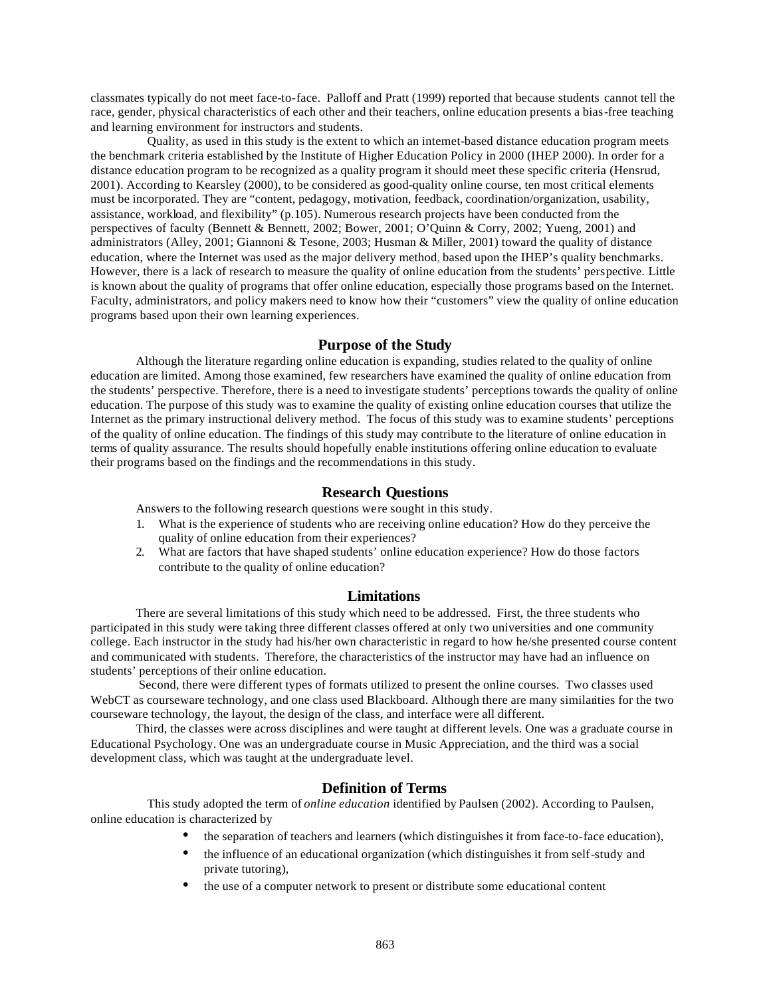classmates typically do not meet face-to-face. Palloff and Pratt (1999) reported that because students cannot tell the race, gender, physical characteristics of each other and their teachers, online education presents a bias-free teaching and learning environment for instructors and students.

Quality, as used in this study is the extent to which an internet-based distance education program meets the benchmark criteria established by the Institute of Higher Education Policy in 2000 (IHEP 2000). In order for a distance education program to be recognized as a quality program it should meet these specific criteria (Hensrud, 2001). According to Kearsley (2000), to be considered as good-quality online course, ten most critical elements must be incorporated. They are "content, pedagogy, motivation, feedback, coordination/organization, usability, assistance, workload, and flexibility" (p.105). Numerous research projects have been conducted from the perspectives of faculty (Bennett & Bennett, 2002; Bower, 2001; O'Quinn & Corry, 2002; Yueng, 2001) and administrators (Alley, 2001; Giannoni & Tesone, 2003; Husman & Miller, 2001) toward the quality of distance education, where the Internet was used as the major delivery method, based upon the IHEP's quality benchmarks. However, there is a lack of research to measure the quality of online education from the students' perspective. Little is known about the quality of programs that offer online education, especially those programs based on the Internet. Faculty, administrators, and policy makers need to know how their "customers" view the quality of online education programs based upon their own learning experiences.

## **Purpose of the Study**

Although the literature regarding online education is expanding, studies related to the quality of online education are limited. Among those examined, few researchers have examined the quality of online education from the students' perspective. Therefore, there is a need to investigate students' perceptions towards the quality of online education. The purpose of this study was to examine the quality of existing online education courses that utilize the Internet as the primary instructional delivery method. The focus of this study was to examine students' perceptions of the quality of online education. The findings of this study may contribute to the literature of online education in terms of quality assurance. The results should hopefully enable institutions offering online education to evaluate their programs based on the findings and the recommendations in this study.

# **Research Questions**

Answers to the following research questions were sought in this study.

- 1. What is the experience of students who are receiving online education? How do they perceive the quality of online education from their experiences?
- 2. What are factors that have shaped students' online education experience? How do those factors contribute to the quality of online education?

# **Limitations**

There are several limitations of this study which need to be addressed. First, the three students who participated in this study were taking three different classes offered at only two universities and one community college. Each instructor in the study had his/her own characteristic in regard to how he/she presented course content and communicated with students. Therefore, the characteristics of the instructor may have had an influence on students' perceptions of their online education.

 Second, there were different types of formats utilized to present the online courses. Two classes used WebCT as courseware technology, and one class used Blackboard. Although there are many similarities for the two courseware technology, the layout, the design of the class, and interface were all different.

Third, the classes were across disciplines and were taught at different levels. One was a graduate course in Educational Psychology. One was an undergraduate course in Music Appreciation, and the third was a social development class, which was taught at the undergraduate level.

# **Definition of Terms**

This study adopted the term of *online education* identified by Paulsen (2002). According to Paulsen, online education is characterized by

- the separation of teachers and learners (which distinguishes it from face-to-face education),
- the influence of an educational organization (which distinguishes it from self-study and private tutoring),
- the use of a computer network to present or distribute some educational content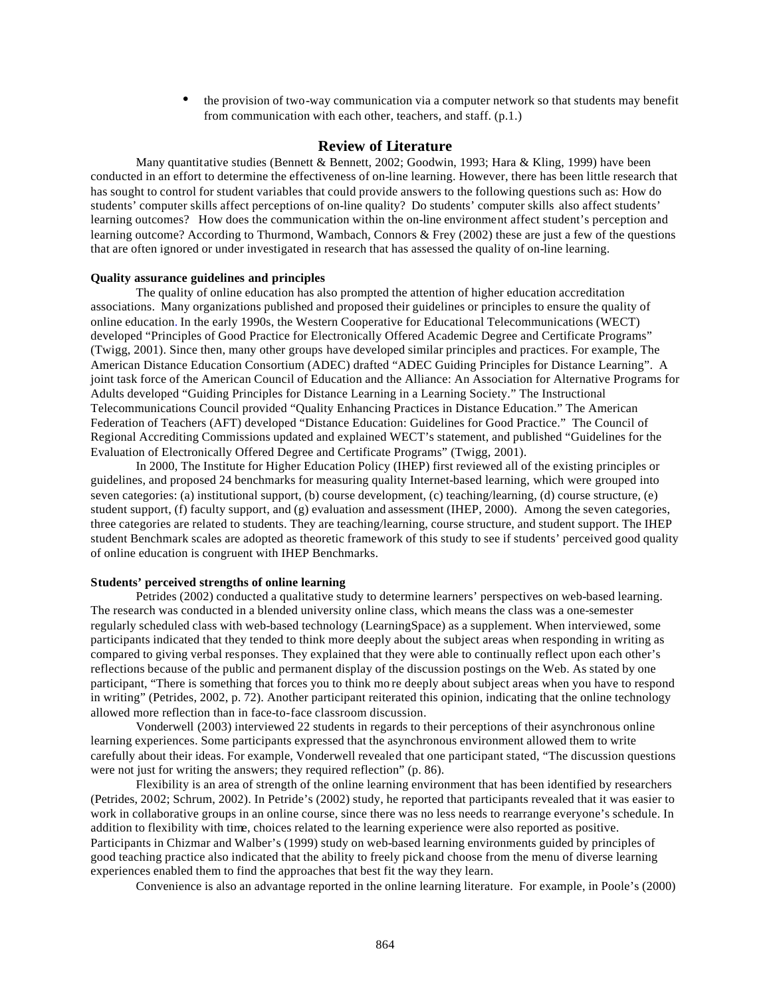• the provision of two-way communication via a computer network so that students may benefit from communication with each other, teachers, and staff. (p.1.)

# **Review of Literature**

Many quantitative studies (Bennett & Bennett, 2002; Goodwin, 1993; Hara & Kling, 1999) have been conducted in an effort to determine the effectiveness of on-line learning. However, there has been little research that has sought to control for student variables that could provide answers to the following questions such as: How do students' computer skills affect perceptions of on-line quality? Do students' computer skills also affect students' learning outcomes? How does the communication within the on-line environment affect student's perception and learning outcome? According to Thurmond, Wambach, Connors & Frey (2002) these are just a few of the questions that are often ignored or under investigated in research that has assessed the quality of on-line learning.

### **Quality assurance guidelines and principles**

The quality of online education has also prompted the attention of higher education accreditation associations. Many organizations published and proposed their guidelines or principles to ensure the quality of online education. In the early 1990s, the Western Cooperative for Educational Telecommunications (WECT) developed "Principles of Good Practice for Electronically Offered Academic Degree and Certificate Programs" (Twigg, 2001). Since then, many other groups have developed similar principles and practices. For example, The American Distance Education Consortium (ADEC) drafted "ADEC Guiding Principles for Distance Learning". A joint task force of the American Council of Education and the Alliance: An Association for Alternative Programs for Adults developed "Guiding Principles for Distance Learning in a Learning Society." The Instructional Telecommunications Council provided "Quality Enhancing Practices in Distance Education." The American Federation of Teachers (AFT) developed "Distance Education: Guidelines for Good Practice." The Council of Regional Accrediting Commissions updated and explained WECT's statement, and published "Guidelines for the Evaluation of Electronically Offered Degree and Certificate Programs" (Twigg, 2001).

In 2000, The Institute for Higher Education Policy (IHEP) first reviewed all of the existing principles or guidelines, and proposed 24 benchmarks for measuring quality Internet-based learning, which were grouped into seven categories: (a) institutional support, (b) course development, (c) teaching/learning, (d) course structure, (e) student support, (f) faculty support, and (g) evaluation and assessment (IHEP, 2000). Among the seven categories, three categories are related to students. They are teaching/learning, course structure, and student support. The IHEP student Benchmark scales are adopted as theoretic framework of this study to see if students' perceived good quality of online education is congruent with IHEP Benchmarks.

### **Students' perceived strengths of online learning**

Petrides (2002) conducted a qualitative study to determine learners' perspectives on web-based learning. The research was conducted in a blended university online class, which means the class was a one-semester regularly scheduled class with web-based technology (LearningSpace) as a supplement. When interviewed, some participants indicated that they tended to think more deeply about the subject areas when responding in writing as compared to giving verbal responses. They explained that they were able to continually reflect upon each other's reflections because of the public and permanent display of the discussion postings on the Web. As stated by one participant, "There is something that forces you to think mo re deeply about subject areas when you have to respond in writing" (Petrides, 2002, p. 72). Another participant reiterated this opinion, indicating that the online technology allowed more reflection than in face-to-face classroom discussion.

Vonderwell (2003) interviewed 22 students in regards to their perceptions of their asynchronous online learning experiences. Some participants expressed that the asynchronous environment allowed them to write carefully about their ideas. For example, Vonderwell revealed that one participant stated, "The discussion questions were not just for writing the answers; they required reflection" (p. 86).

Flexibility is an area of strength of the online learning environment that has been identified by researchers (Petrides, 2002; Schrum, 2002). In Petride's (2002) study, he reported that participants revealed that it was easier to work in collaborative groups in an online course, since there was no less needs to rearrange everyone's schedule. In addition to flexibility with time, choices related to the learning experience were also reported as positive. Participants in Chizmar and Walber's (1999) study on web-based learning environments guided by principles of good teaching practice also indicated that the ability to freely pick and choose from the menu of diverse learning experiences enabled them to find the approaches that best fit the way they learn.

Convenience is also an advantage reported in the online learning literature. For example, in Poole's (2000)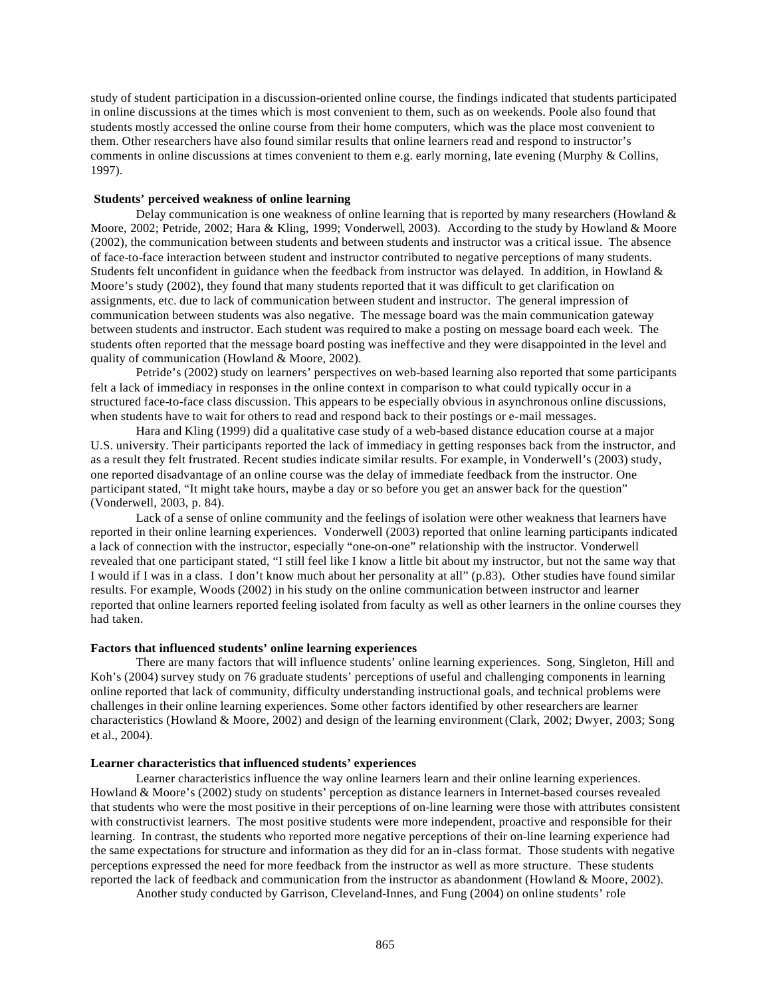study of student participation in a discussion-oriented online course, the findings indicated that students participated in online discussions at the times which is most convenient to them, such as on weekends. Poole also found that students mostly accessed the online course from their home computers, which was the place most convenient to them. Other researchers have also found similar results that online learners read and respond to instructor's comments in online discussions at times convenient to them e.g. early morning, late evening (Murphy & Collins, 1997).

#### **Students' perceived weakness of online learning**

Delay communication is one weakness of online learning that is reported by many researchers (Howland & Moore, 2002; Petride, 2002; Hara & Kling, 1999; Vonderwell, 2003). According to the study by Howland & Moore (2002), the communication between students and between students and instructor was a critical issue. The absence of face-to-face interaction between student and instructor contributed to negative perceptions of many students. Students felt unconfident in guidance when the feedback from instructor was delayed. In addition, in Howland & Moore's study (2002), they found that many students reported that it was difficult to get clarification on assignments, etc. due to lack of communication between student and instructor. The general impression of communication between students was also negative. The message board was the main communication gateway between students and instructor. Each student was required to make a posting on message board each week. The students often reported that the message board posting was ineffective and they were disappointed in the level and quality of communication (Howland & Moore, 2002).

Petride's (2002) study on learners' perspectives on web-based learning also reported that some participants felt a lack of immediacy in responses in the online context in comparison to what could typically occur in a structured face-to-face class discussion. This appears to be especially obvious in asynchronous online discussions, when students have to wait for others to read and respond back to their postings or e-mail messages.

Hara and Kling (1999) did a qualitative case study of a web-based distance education course at a major U.S. university. Their participants reported the lack of immediacy in getting responses back from the instructor, and as a result they felt frustrated. Recent studies indicate similar results. For example, in Vonderwell's (2003) study, one reported disadvantage of an online course was the delay of immediate feedback from the instructor. One participant stated, "It might take hours, maybe a day or so before you get an answer back for the question" (Vonderwell, 2003, p. 84).

Lack of a sense of online community and the feelings of isolation were other weakness that learners have reported in their online learning experiences. Vonderwell (2003) reported that online learning participants indicated a lack of connection with the instructor, especially "one-on-one" relationship with the instructor. Vonderwell revealed that one participant stated, "I still feel like I know a little bit about my instructor, but not the same way that I would if I was in a class. I don't know much about her personality at all" (p.83). Other studies have found similar results. For example, Woods (2002) in his study on the online communication between instructor and learner reported that online learners reported feeling isolated from faculty as well as other learners in the online courses they had taken.

#### **Factors that influenced students' online learning experiences**

There are many factors that will influence students' online learning experiences. Song, Singleton, Hill and Koh's (2004) survey study on 76 graduate students' perceptions of useful and challenging components in learning online reported that lack of community, difficulty understanding instructional goals, and technical problems were challenges in their online learning experiences. Some other factors identified by other researchers are learner characteristics (Howland & Moore, 2002) and design of the learning environment (Clark, 2002; Dwyer, 2003; Song et al., 2004).

#### **Learner characteristics that influenced students' experiences**

Learner characteristics influence the way online learners learn and their online learning experiences. Howland & Moore's (2002) study on students' perception as distance learners in Internet-based courses revealed that students who were the most positive in their perceptions of on-line learning were those with attributes consistent with constructivist learners. The most positive students were more independent, proactive and responsible for their learning. In contrast, the students who reported more negative perceptions of their on-line learning experience had the same expectations for structure and information as they did for an in-class format. Those students with negative perceptions expressed the need for more feedback from the instructor as well as more structure. These students reported the lack of feedback and communication from the instructor as abandonment (Howland & Moore, 2002).

Another study conducted by Garrison, Cleveland-Innes, and Fung (2004) on online students' role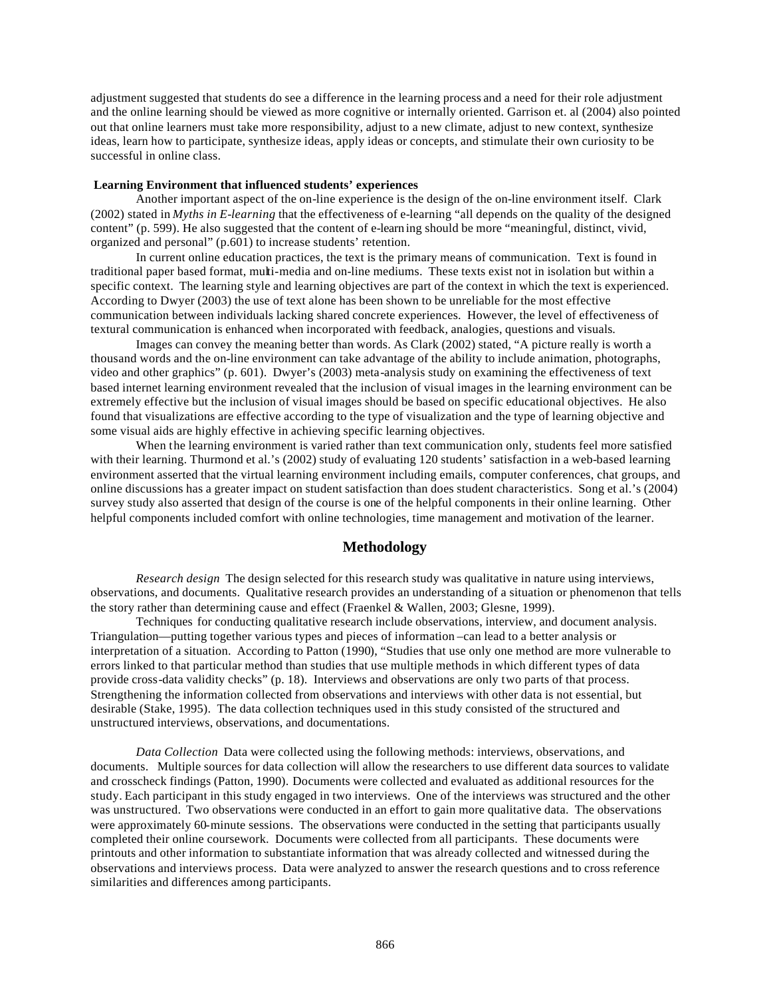adjustment suggested that students do see a difference in the learning process and a need for their role adjustment and the online learning should be viewed as more cognitive or internally oriented. Garrison et. al (2004) also pointed out that online learners must take more responsibility, adjust to a new climate, adjust to new context, synthesize ideas, learn how to participate, synthesize ideas, apply ideas or concepts, and stimulate their own curiosity to be successful in online class.

### **Learning Environment that influenced students' experiences**

Another important aspect of the on-line experience is the design of the on-line environment itself. Clark (2002) stated in *Myths in E-learning* that the effectiveness of e-learning "all depends on the quality of the designed content" (p. 599). He also suggested that the content of e-learn ing should be more "meaningful, distinct, vivid, organized and personal" (p.601) to increase students' retention.

In current online education practices, the text is the primary means of communication. Text is found in traditional paper based format, multi-media and on-line mediums. These texts exist not in isolation but within a specific context. The learning style and learning objectives are part of the context in which the text is experienced. According to Dwyer (2003) the use of text alone has been shown to be unreliable for the most effective communication between individuals lacking shared concrete experiences. However, the level of effectiveness of textural communication is enhanced when incorporated with feedback, analogies, questions and visuals.

Images can convey the meaning better than words. As Clark (2002) stated, "A picture really is worth a thousand words and the on-line environment can take advantage of the ability to include animation, photographs, video and other graphics" (p. 601). Dwyer's (2003) meta-analysis study on examining the effectiveness of text based internet learning environment revealed that the inclusion of visual images in the learning environment can be extremely effective but the inclusion of visual images should be based on specific educational objectives. He also found that visualizations are effective according to the type of visualization and the type of learning objective and some visual aids are highly effective in achieving specific learning objectives.

When the learning environment is varied rather than text communication only, students feel more satisfied with their learning. Thurmond et al.'s (2002) study of evaluating 120 students' satisfaction in a web-based learning environment asserted that the virtual learning environment including emails, computer conferences, chat groups, and online discussions has a greater impact on student satisfaction than does student characteristics. Song et al.'s (2004) survey study also asserted that design of the course is one of the helpful components in their online learning. Other helpful components included comfort with online technologies, time management and motivation of the learner.

# **Methodology**

*Research design* The design selected for this research study was qualitative in nature using interviews, observations, and documents. Qualitative research provides an understanding of a situation or phenomenon that tells the story rather than determining cause and effect (Fraenkel & Wallen, 2003; Glesne, 1999).

Techniques for conducting qualitative research include observations, interview, and document analysis. Triangulation—putting together various types and pieces of information –can lead to a better analysis or interpretation of a situation. According to Patton (1990), "Studies that use only one method are more vulnerable to errors linked to that particular method than studies that use multiple methods in which different types of data provide cross-data validity checks" (p. 18). Interviews and observations are only two parts of that process. Strengthening the information collected from observations and interviews with other data is not essential, but desirable (Stake, 1995). The data collection techniques used in this study consisted of the structured and unstructured interviews, observations, and documentations.

*Data Collection* Data were collected using the following methods: interviews, observations, and documents. Multiple sources for data collection will allow the researchers to use different data sources to validate and crosscheck findings (Patton, 1990). Documents were collected and evaluated as additional resources for the study. Each participant in this study engaged in two interviews. One of the interviews was structured and the other was unstructured. Two observations were conducted in an effort to gain more qualitative data. The observations were approximately 60-minute sessions. The observations were conducted in the setting that participants usually completed their online coursework. Documents were collected from all participants. These documents were printouts and other information to substantiate information that was already collected and witnessed during the observations and interviews process. Data were analyzed to answer the research questions and to cross reference similarities and differences among participants.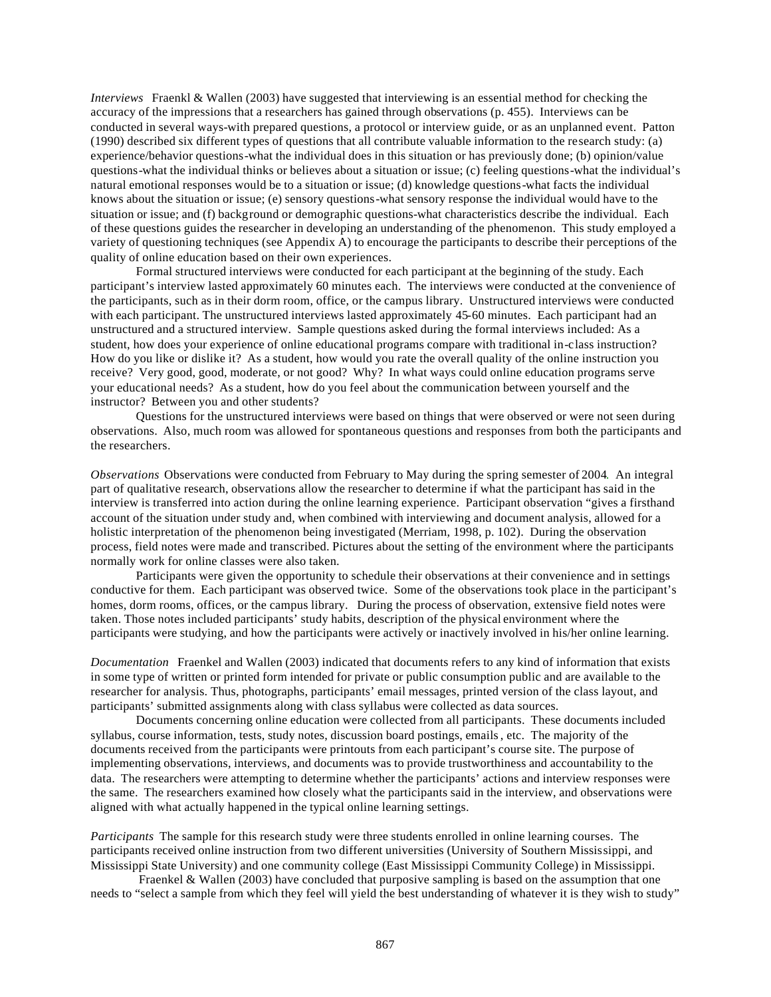*Interviews* Fraenkl & Wallen (2003) have suggested that interviewing is an essential method for checking the accuracy of the impressions that a researchers has gained through observations (p. 455). Interviews can be conducted in several ways-with prepared questions, a protocol or interview guide, or as an unplanned event. Patton (1990) described six different types of questions that all contribute valuable information to the research study: (a) experience/behavior questions-what the individual does in this situation or has previously done; (b) opinion/value questions-what the individual thinks or believes about a situation or issue; (c) feeling questions-what the individual's natural emotional responses would be to a situation or issue; (d) knowledge questions-what facts the individual knows about the situation or issue; (e) sensory questions-what sensory response the individual would have to the situation or issue; and (f) background or demographic questions-what characteristics describe the individual. Each of these questions guides the researcher in developing an understanding of the phenomenon. This study employed a variety of questioning techniques (see Appendix A) to encourage the participants to describe their perceptions of the quality of online education based on their own experiences.

Formal structured interviews were conducted for each participant at the beginning of the study. Each participant's interview lasted approximately 60 minutes each. The interviews were conducted at the convenience of the participants, such as in their dorm room, office, or the campus library. Unstructured interviews were conducted with each participant. The unstructured interviews lasted approximately 45-60 minutes. Each participant had an unstructured and a structured interview. Sample questions asked during the formal interviews included: As a student, how does your experience of online educational programs compare with traditional in-class instruction? How do you like or dislike it? As a student, how would you rate the overall quality of the online instruction you receive? Very good, good, moderate, or not good? Why? In what ways could online education programs serve your educational needs? As a student, how do you feel about the communication between yourself and the instructor? Between you and other students?

Questions for the unstructured interviews were based on things that were observed or were not seen during observations. Also, much room was allowed for spontaneous questions and responses from both the participants and the researchers.

*Observations* Observations were conducted from February to May during the spring semester of 2004. An integral part of qualitative research, observations allow the researcher to determine if what the participant has said in the interview is transferred into action during the online learning experience. Participant observation "gives a firsthand account of the situation under study and, when combined with interviewing and document analysis, allowed for a holistic interpretation of the phenomenon being investigated (Merriam, 1998, p. 102). During the observation process, field notes were made and transcribed. Pictures about the setting of the environment where the participants normally work for online classes were also taken.

Participants were given the opportunity to schedule their observations at their convenience and in settings conductive for them. Each participant was observed twice. Some of the observations took place in the participant's homes, dorm rooms, offices, or the campus library. During the process of observation, extensive field notes were taken. Those notes included participants' study habits, description of the physical environment where the participants were studying, and how the participants were actively or inactively involved in his/her online learning.

*Documentation* Fraenkel and Wallen (2003) indicated that documents refers to any kind of information that exists in some type of written or printed form intended for private or public consumption public and are available to the researcher for analysis. Thus, photographs, participants' email messages, printed version of the class layout, and participants' submitted assignments along with class syllabus were collected as data sources.

Documents concerning online education were collected from all participants. These documents included syllabus, course information, tests, study notes, discussion board postings, emails, etc. The majority of the documents received from the participants were printouts from each participant's course site. The purpose of implementing observations, interviews, and documents was to provide trustworthiness and accountability to the data. The researchers were attempting to determine whether the participants' actions and interview responses were the same. The researchers examined how closely what the participants said in the interview, and observations were aligned with what actually happened in the typical online learning settings.

*Participants* The sample for this research study were three students enrolled in online learning courses. The participants received online instruction from two different universities (University of Southern Mississippi, and Mississippi State University) and one community college (East Mississippi Community College) in Mississippi.

Fraenkel & Wallen (2003) have concluded that purposive sampling is based on the assumption that one needs to "select a sample from which they feel will yield the best understanding of whatever it is they wish to study"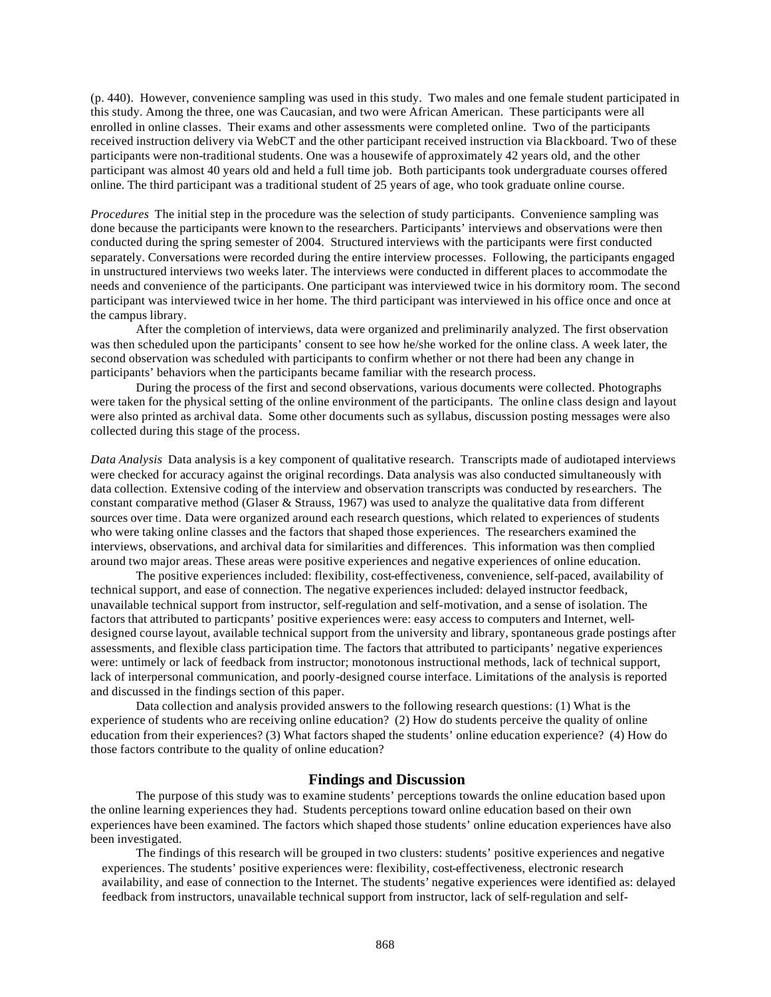(p. 440). However, convenience sampling was used in this study. Two males and one female student participated in this study. Among the three, one was Caucasian, and two were African American. These participants were all enrolled in online classes. Their exams and other assessments were completed online. Two of the participants received instruction delivery via WebCT and the other participant received instruction via Blackboard. Two of these participants were non-traditional students. One was a housewife of approximately 42 years old, and the other participant was almost 40 years old and held a full time job. Both participants took undergraduate courses offered online. The third participant was a traditional student of 25 years of age, who took graduate online course.

*Procedures* The initial step in the procedure was the selection of study participants. Convenience sampling was done because the participants were known to the researchers. Participants' interviews and observations were then conducted during the spring semester of 2004. Structured interviews with the participants were first conducted separately. Conversations were recorded during the entire interview processes. Following, the participants engaged in unstructured interviews two weeks later. The interviews were conducted in different places to accommodate the needs and convenience of the participants. One participant was interviewed twice in his dormitory room. The second participant was interviewed twice in her home. The third participant was interviewed in his office once and once at the campus library.

After the completion of interviews, data were organized and preliminarily analyzed. The first observation was then scheduled upon the participants' consent to see how he/she worked for the online class. A week later, the second observation was scheduled with participants to confirm whether or not there had been any change in participants' behaviors when the participants became familiar with the research process.

During the process of the first and second observations, various documents were collected. Photographs were taken for the physical setting of the online environment of the participants. The online class design and layout were also printed as archival data. Some other documents such as syllabus, discussion posting messages were also collected during this stage of the process.

*Data Analysis* Data analysis is a key component of qualitative research. Transcripts made of audiotaped interviews were checked for accuracy against the original recordings. Data analysis was also conducted simultaneously with data collection. Extensive coding of the interview and observation transcripts was conducted by researchers. The constant comparative method (Glaser & Strauss, 1967) was used to analyze the qualitative data from different sources over time. Data were organized around each research questions, which related to experiences of students who were taking online classes and the factors that shaped those experiences. The researchers examined the interviews, observations, and archival data for similarities and differences. This information was then complied around two major areas. These areas were positive experiences and negative experiences of online education.

The positive experiences included: flexibility, cost-effectiveness, convenience, self-paced, availability of technical support, and ease of connection. The negative experiences included: delayed instructor feedback, unavailable technical support from instructor, self-regulation and self-motivation, and a sense of isolation. The factors that attributed to particpants' positive experiences were: easy access to computers and Internet, welldesigned course layout, available technical support from the university and library, spontaneous grade postings after assessments, and flexible class participation time. The factors that attributed to participants' negative experiences were: untimely or lack of feedback from instructor; monotonous instructional methods, lack of technical support, lack of interpersonal communication, and poorly-designed course interface. Limitations of the analysis is reported and discussed in the findings section of this paper.

Data collection and analysis provided answers to the following research questions: (1) What is the experience of students who are receiving online education? (2) How do students perceive the quality of online education from their experiences? (3) What factors shaped the students' online education experience? (4) How do those factors contribute to the quality of online education?

### **Findings and Discussion**

The purpose of this study was to examine students' perceptions towards the online education based upon the online learning experiences they had. Students perceptions toward online education based on their own experiences have been examined. The factors which shaped those students' online education experiences have also been investigated.

The findings of this research will be grouped in two clusters: students' positive experiences and negative experiences. The students' positive experiences were: flexibility, cost-effectiveness, electronic research availability, and ease of connection to the Internet. The students' negative experiences were identified as: delayed feedback from instructors, unavailable technical support from instructor, lack of self-regulation and self-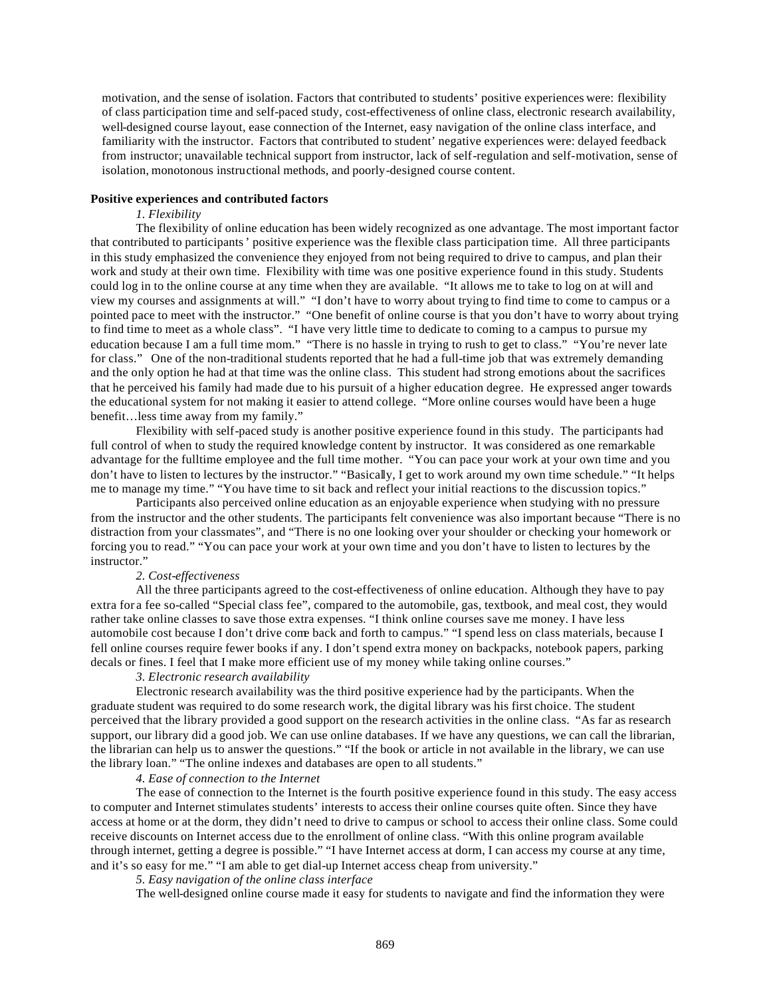motivation, and the sense of isolation. Factors that contributed to students' positive experiences were: flexibility of class participation time and self-paced study, cost-effectiveness of online class, electronic research availability, well-designed course layout, ease connection of the Internet, easy navigation of the online class interface, and familiarity with the instructor. Factors that contributed to student' negative experiences were: delayed feedback from instructor; unavailable technical support from instructor, lack of self-regulation and self-motivation, sense of isolation, monotonous instructional methods, and poorly-designed course content.

#### **Positive experiences and contributed factors**

# *1. Flexibility*

The flexibility of online education has been widely recognized as one advantage. The most important factor that contributed to participants' positive experience was the flexible class participation time. All three participants in this study emphasized the convenience they enjoyed from not being required to drive to campus, and plan their work and study at their own time. Flexibility with time was one positive experience found in this study. Students could log in to the online course at any time when they are available. "It allows me to take to log on at will and view my courses and assignments at will." "I don't have to worry about trying to find time to come to campus or a pointed pace to meet with the instructor." "One benefit of online course is that you don't have to worry about trying to find time to meet as a whole class". "I have very little time to dedicate to coming to a campus to pursue my education because I am a full time mom." "There is no hassle in trying to rush to get to class." "You're never late for class." One of the non-traditional students reported that he had a full-time job that was extremely demanding and the only option he had at that time was the online class. This student had strong emotions about the sacrifices that he perceived his family had made due to his pursuit of a higher education degree. He expressed anger towards the educational system for not making it easier to attend college. "More online courses would have been a huge benefit…less time away from my family."

Flexibility with self-paced study is another positive experience found in this study. The participants had full control of when to study the required knowledge content by instructor. It was considered as one remarkable advantage for the fulltime employee and the full time mother. "You can pace your work at your own time and you don't have to listen to lectures by the instructor." "Basically, I get to work around my own time schedule." "It helps me to manage my time." "You have time to sit back and reflect your initial reactions to the discussion topics."

Participants also perceived online education as an enjoyable experience when studying with no pressure from the instructor and the other students. The participants felt convenience was also important because "There is no distraction from your classmates", and "There is no one looking over your shoulder or checking your homework or forcing you to read." "You can pace your work at your own time and you don't have to listen to lectures by the instructor."

### *2. Cost-effectiveness*

All the three participants agreed to the cost-effectiveness of online education. Although they have to pay extra for a fee so-called "Special class fee", compared to the automobile, gas, textbook, and meal cost, they would rather take online classes to save those extra expenses. "I think online courses save me money. I have less automobile cost because I don't drive come back and forth to campus." "I spend less on class materials, because I fell online courses require fewer books if any. I don't spend extra money on backpacks, notebook papers, parking decals or fines. I feel that I make more efficient use of my money while taking online courses."

### *3. Electronic research availability*

Electronic research availability was the third positive experience had by the participants. When the graduate student was required to do some research work, the digital library was his first choice. The student perceived that the library provided a good support on the research activities in the online class. "As far as research support, our library did a good job. We can use online databases. If we have any questions, we can call the librarian, the librarian can help us to answer the questions." "If the book or article in not available in the library, we can use the library loan." "The online indexes and databases are open to all students."

#### *4. Ease of connection to the Internet*

The ease of connection to the Internet is the fourth positive experience found in this study. The easy access to computer and Internet stimulates students' interests to access their online courses quite often. Since they have access at home or at the dorm, they didn't need to drive to campus or school to access their online class. Some could receive discounts on Internet access due to the enrollment of online class. "With this online program available through internet, getting a degree is possible." "I have Internet access at dorm, I can access my course at any time, and it's so easy for me." "I am able to get dial-up Internet access cheap from university."

### *5. Easy navigation of the online class interface*

The well-designed online course made it easy for students to navigate and find the information they were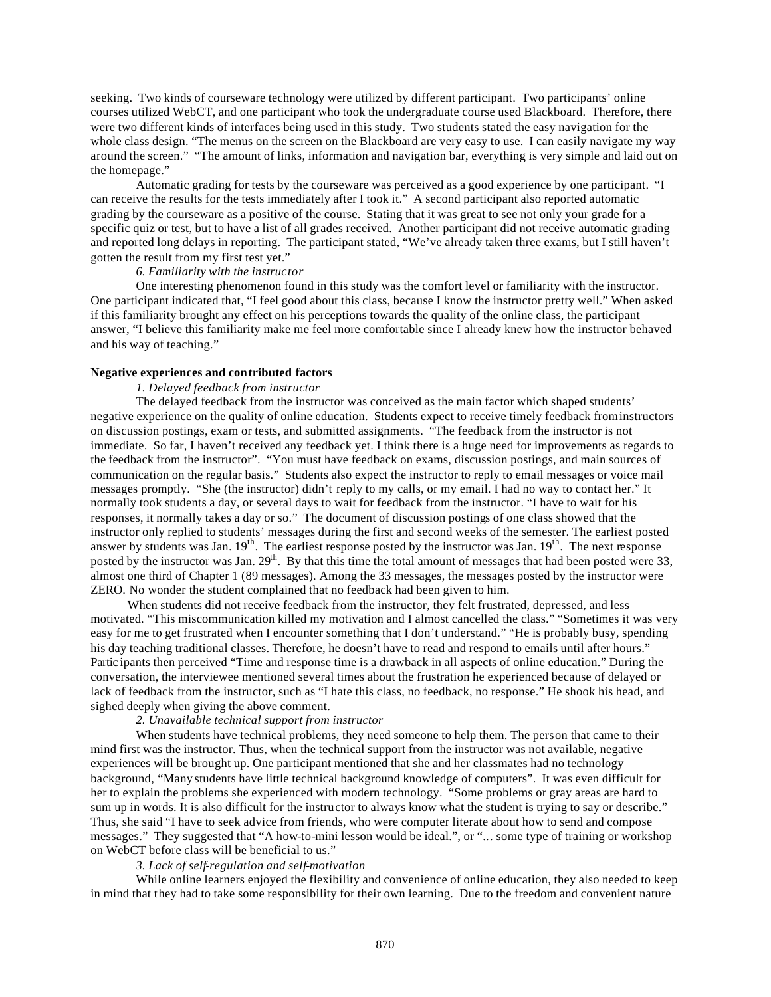seeking. Two kinds of courseware technology were utilized by different participant. Two participants' online courses utilized WebCT, and one participant who took the undergraduate course used Blackboard. Therefore, there were two different kinds of interfaces being used in this study. Two students stated the easy navigation for the whole class design. "The menus on the screen on the Blackboard are very easy to use. I can easily navigate my way around the screen." "The amount of links, information and navigation bar, everything is very simple and laid out on the homepage."

Automatic grading for tests by the courseware was perceived as a good experience by one participant. "I can receive the results for the tests immediately after I took it." A second participant also reported automatic grading by the courseware as a positive of the course. Stating that it was great to see not only your grade for a specific quiz or test, but to have a list of all grades received. Another participant did not receive automatic grading and reported long delays in reporting. The participant stated, "We've already taken three exams, but I still haven't gotten the result from my first test yet."

### *6. Familiarity with the instructor*

One interesting phenomenon found in this study was the comfort level or familiarity with the instructor. One participant indicated that, "I feel good about this class, because I know the instructor pretty well." When asked if this familiarity brought any effect on his perceptions towards the quality of the online class, the participant answer, "I believe this familiarity make me feel more comfortable since I already knew how the instructor behaved and his way of teaching."

### **Negative experiences and contributed factors**

# *1. Delayed feedback from instructor*

The delayed feedback from the instructor was conceived as the main factor which shaped students' negative experience on the quality of online education. Students expect to receive timely feedback from instructors on discussion postings, exam or tests, and submitted assignments. "The feedback from the instructor is not immediate. So far, I haven't received any feedback yet. I think there is a huge need for improvements as regards to the feedback from the instructor". "You must have feedback on exams, discussion postings, and main sources of communication on the regular basis." Students also expect the instructor to reply to email messages or voice mail messages promptly. "She (the instructor) didn't reply to my calls, or my email. I had no way to contact her." It normally took students a day, or several days to wait for feedback from the instructor. "I have to wait for his responses, it normally takes a day or so." The document of discussion postings of one class showed that the instructor only replied to students' messages during the first and second weeks of the semester. The earliest posted answer by students was Jan. 19<sup>th</sup>. The earliest response posted by the instructor was Jan. 19<sup>th</sup>. The next response answer by students was Jan. 19<sup>th</sup>. posted by the instructor was Jan. 29<sup>th</sup>. By that this time the total amount of messages that had been posted were 33, almost one third of Chapter 1 (89 messages). Among the 33 messages, the messages posted by the instructor were ZERO. No wonder the student complained that no feedback had been given to him.

 When students did not receive feedback from the instructor, they felt frustrated, depressed, and less motivated. "This miscommunication killed my motivation and I almost cancelled the class." "Sometimes it was very easy for me to get frustrated when I encounter something that I don't understand." "He is probably busy, spending his day teaching traditional classes. Therefore, he doesn't have to read and respond to emails until after hours." Partic ipants then perceived "Time and response time is a drawback in all aspects of online education." During the conversation, the interviewee mentioned several times about the frustration he experienced because of delayed or lack of feedback from the instructor, such as "I hate this class, no feedback, no response." He shook his head, and sighed deeply when giving the above comment.

## *2. Unavailable technical support from instructor*

When students have technical problems, they need someone to help them. The person that came to their mind first was the instructor. Thus, when the technical support from the instructor was not available, negative experiences will be brought up. One participant mentioned that she and her classmates had no technology background, "Many students have little technical background knowledge of computers". It was even difficult for her to explain the problems she experienced with modern technology. "Some problems or gray areas are hard to sum up in words. It is also difficult for the instructor to always know what the student is trying to say or describe." Thus, she said "I have to seek advice from friends, who were computer literate about how to send and compose messages." They suggested that "A how-to-mini lesson would be ideal.", or "... some type of training or workshop on WebCT before class will be beneficial to us."

# *3. Lack of self-regulation and self-motivation*

While online learners enjoyed the flexibility and convenience of online education, they also needed to keep in mind that they had to take some responsibility for their own learning. Due to the freedom and convenient nature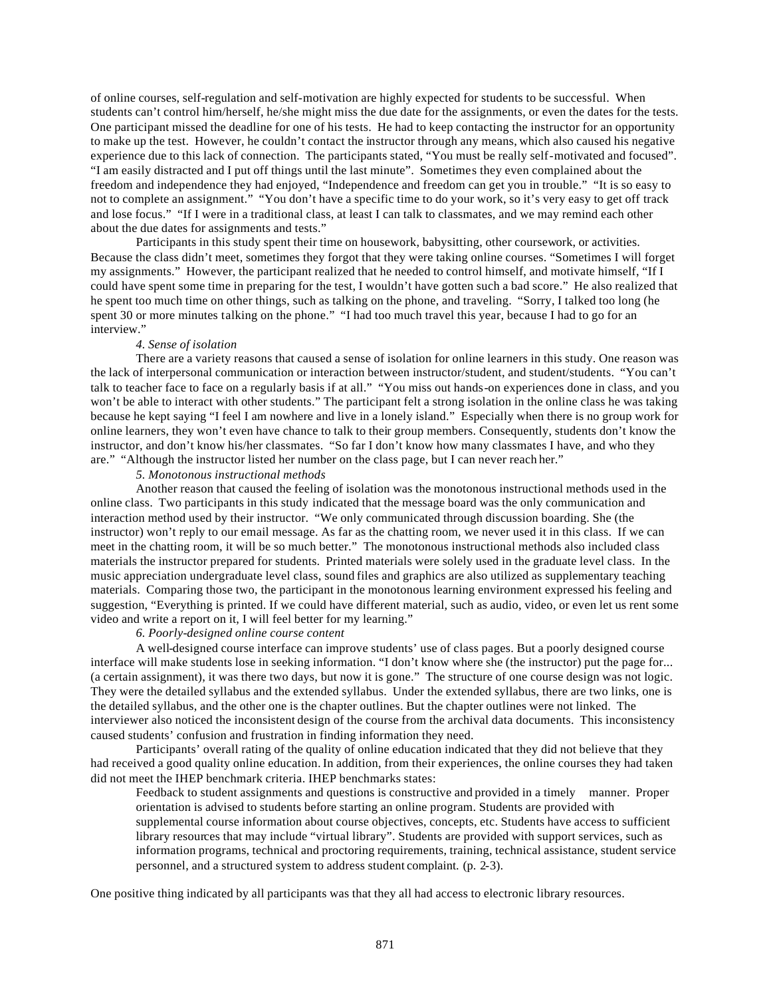of online courses, self-regulation and self-motivation are highly expected for students to be successful. When students can't control him/herself, he/she might miss the due date for the assignments, or even the dates for the tests. One participant missed the deadline for one of his tests. He had to keep contacting the instructor for an opportunity to make up the test. However, he couldn't contact the instructor through any means, which also caused his negative experience due to this lack of connection. The participants stated, "You must be really self-motivated and focused". "I am easily distracted and I put off things until the last minute". Sometimes they even complained about the freedom and independence they had enjoyed, "Independence and freedom can get you in trouble." "It is so easy to not to complete an assignment." "You don't have a specific time to do your work, so it's very easy to get off track and lose focus." "If I were in a traditional class, at least I can talk to classmates, and we may remind each other about the due dates for assignments and tests."

Participants in this study spent their time on housework, babysitting, other coursework, or activities. Because the class didn't meet, sometimes they forgot that they were taking online courses. "Sometimes I will forget my assignments." However, the participant realized that he needed to control himself, and motivate himself, "If  $\tilde{I}$ could have spent some time in preparing for the test, I wouldn't have gotten such a bad score." He also realized that he spent too much time on other things, such as talking on the phone, and traveling. "Sorry, I talked too long (he spent 30 or more minutes talking on the phone." "I had too much travel this year, because I had to go for an interview."

#### *4. Sense of isolation*

There are a variety reasons that caused a sense of isolation for online learners in this study. One reason was the lack of interpersonal communication or interaction between instructor/student, and student/students. "You can't talk to teacher face to face on a regularly basis if at all." "You miss out hands-on experiences done in class, and you won't be able to interact with other students." The participant felt a strong isolation in the online class he was taking because he kept saying "I feel I am nowhere and live in a lonely island." Especially when there is no group work for online learners, they won't even have chance to talk to their group members. Consequently, students don't know the instructor, and don't know his/her classmates. "So far I don't know how many classmates I have, and who they are." "Although the instructor listed her number on the class page, but I can never reach her."

### *5. Monotonous instructional methods*

Another reason that caused the feeling of isolation was the monotonous instructional methods used in the online class. Two participants in this study indicated that the message board was the only communication and interaction method used by their instructor. "We only communicated through discussion boarding. She (the instructor) won't reply to our email message. As far as the chatting room, we never used it in this class. If we can meet in the chatting room, it will be so much better." The monotonous instructional methods also included class materials the instructor prepared for students. Printed materials were solely used in the graduate level class. In the music appreciation undergraduate level class, sound files and graphics are also utilized as supplementary teaching materials. Comparing those two, the participant in the monotonous learning environment expressed his feeling and suggestion, "Everything is printed. If we could have different material, such as audio, video, or even let us rent some video and write a report on it, I will feel better for my learning."

### *6. Poorly-designed online course content*

A well-designed course interface can improve students' use of class pages. But a poorly designed course interface will make students lose in seeking information. "I don't know where she (the instructor) put the page for... (a certain assignment), it was there two days, but now it is gone." The structure of one course design was not logic. They were the detailed syllabus and the extended syllabus. Under the extended syllabus, there are two links, one is the detailed syllabus, and the other one is the chapter outlines. But the chapter outlines were not linked. The interviewer also noticed the inconsistent design of the course from the archival data documents. This inconsistency caused students' confusion and frustration in finding information they need.

Participants' overall rating of the quality of online education indicated that they did not believe that they had received a good quality online education. In addition, from their experiences, the online courses they had taken did not meet the IHEP benchmark criteria. IHEP benchmarks states:

Feedback to student assignments and questions is constructive and provided in a timely manner. Proper orientation is advised to students before starting an online program. Students are provided with supplemental course information about course objectives, concepts, etc. Students have access to sufficient library resources that may include "virtual library". Students are provided with support services, such as information programs, technical and proctoring requirements, training, technical assistance, student service personnel, and a structured system to address student complaint. (p. 2-3).

One positive thing indicated by all participants was that they all had access to electronic library resources.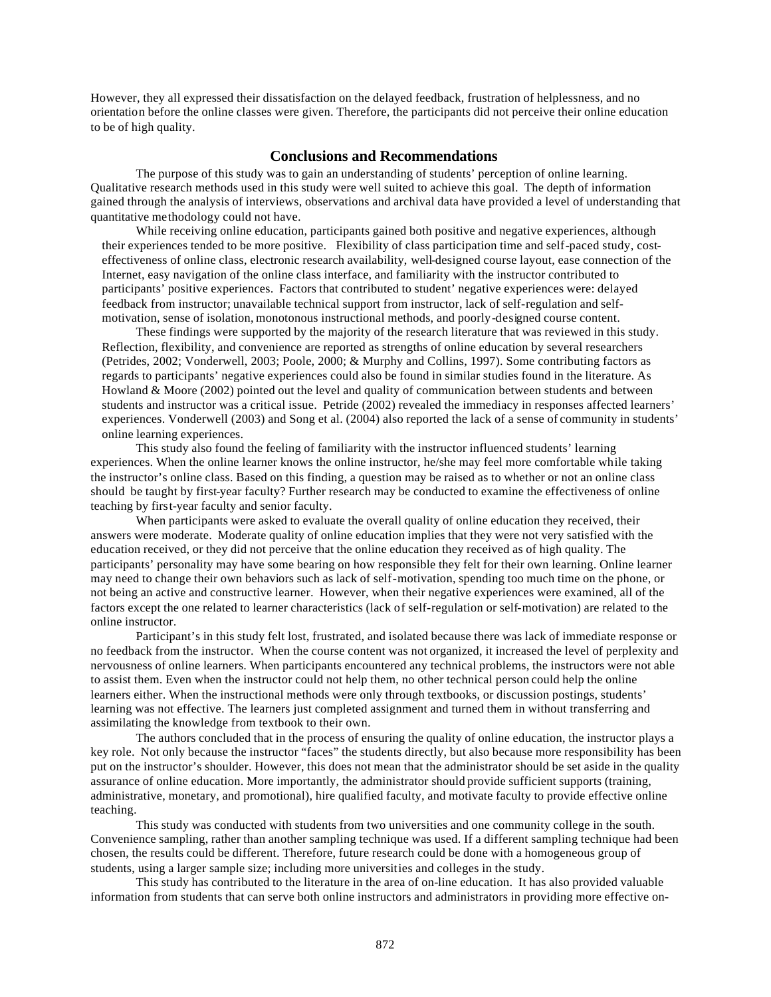However, they all expressed their dissatisfaction on the delayed feedback, frustration of helplessness, and no orientation before the online classes were given. Therefore, the participants did not perceive their online education to be of high quality.

### **Conclusions and Recommendations**

The purpose of this study was to gain an understanding of students' perception of online learning. Qualitative research methods used in this study were well suited to achieve this goal. The depth of information gained through the analysis of interviews, observations and archival data have provided a level of understanding that quantitative methodology could not have.

While receiving online education, participants gained both positive and negative experiences, although their experiences tended to be more positive. Flexibility of class participation time and self-paced study, costeffectiveness of online class, electronic research availability, well-designed course layout, ease connection of the Internet, easy navigation of the online class interface, and familiarity with the instructor contributed to participants' positive experiences. Factors that contributed to student' negative experiences were: delayed feedback from instructor; unavailable technical support from instructor, lack of self-regulation and selfmotivation, sense of isolation, monotonous instructional methods, and poorly-designed course content.

These findings were supported by the majority of the research literature that was reviewed in this study. Reflection, flexibility, and convenience are reported as strengths of online education by several researchers (Petrides, 2002; Vonderwell, 2003; Poole, 2000; & Murphy and Collins, 1997). Some contributing factors as regards to participants' negative experiences could also be found in similar studies found in the literature. As Howland & Moore (2002) pointed out the level and quality of communication between students and between students and instructor was a critical issue. Petride (2002) revealed the immediacy in responses affected learners' experiences. Vonderwell (2003) and Song et al. (2004) also reported the lack of a sense of community in students' online learning experiences.

This study also found the feeling of familiarity with the instructor influenced students' learning experiences. When the online learner knows the online instructor, he/she may feel more comfortable while taking the instructor's online class. Based on this finding, a question may be raised as to whether or not an online class should be taught by first-year faculty? Further research may be conducted to examine the effectiveness of online teaching by first-year faculty and senior faculty.

When participants were asked to evaluate the overall quality of online education they received, their answers were moderate. Moderate quality of online education implies that they were not very satisfied with the education received, or they did not perceive that the online education they received as of high quality. The participants' personality may have some bearing on how responsible they felt for their own learning. Online learner may need to change their own behaviors such as lack of self-motivation, spending too much time on the phone, or not being an active and constructive learner. However, when their negative experiences were examined, all of the factors except the one related to learner characteristics (lack of self-regulation or self-motivation) are related to the online instructor.

Participant's in this study felt lost, frustrated, and isolated because there was lack of immediate response or no feedback from the instructor. When the course content was not organized, it increased the level of perplexity and nervousness of online learners. When participants encountered any technical problems, the instructors were not able to assist them. Even when the instructor could not help them, no other technical person could help the online learners either. When the instructional methods were only through textbooks, or discussion postings, students' learning was not effective. The learners just completed assignment and turned them in without transferring and assimilating the knowledge from textbook to their own.

The authors concluded that in the process of ensuring the quality of online education, the instructor plays a key role. Not only because the instructor "faces" the students directly, but also because more responsibility has been put on the instructor's shoulder. However, this does not mean that the administrator should be set aside in the quality assurance of online education. More importantly, the administrator should provide sufficient supports (training, administrative, monetary, and promotional), hire qualified faculty, and motivate faculty to provide effective online teaching.

This study was conducted with students from two universities and one community college in the south. Convenience sampling, rather than another sampling technique was used. If a different sampling technique had been chosen, the results could be different. Therefore, future research could be done with a homogeneous group of students, using a larger sample size; including more universities and colleges in the study.

This study has contributed to the literature in the area of on-line education. It has also provided valuable information from students that can serve both online instructors and administrators in providing more effective on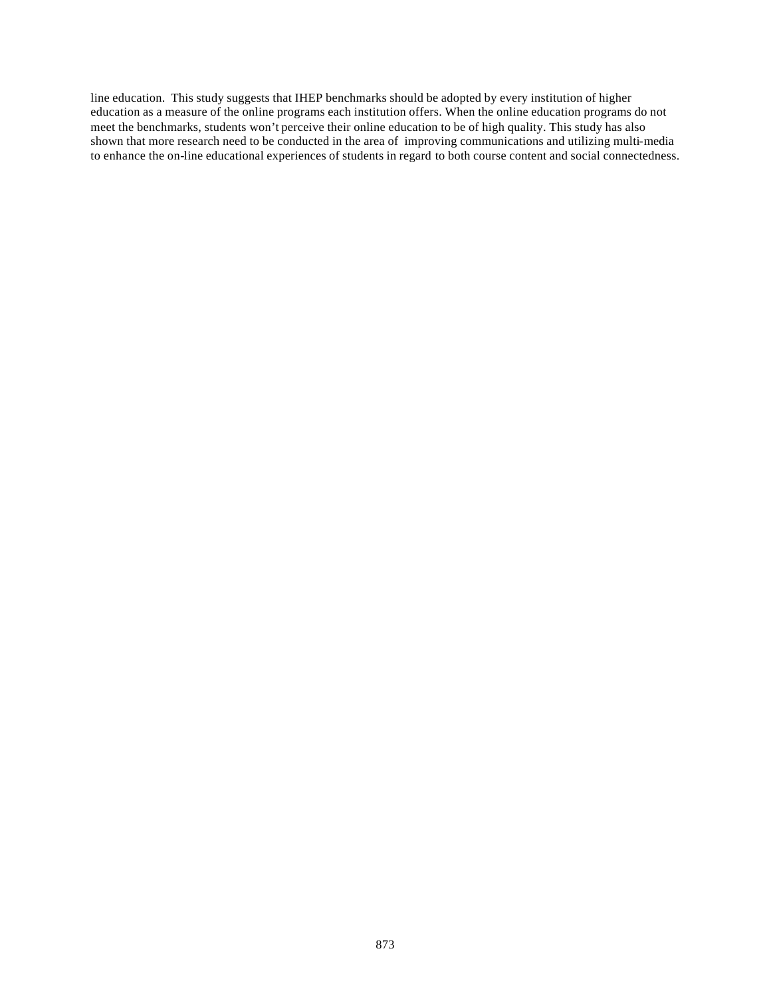line education. This study suggests that IHEP benchmarks should be adopted by every institution of higher education as a measure of the online programs each institution offers. When the online education programs do not meet the benchmarks, students won't perceive their online education to be of high quality. This study has also shown that more research need to be conducted in the area of improving communications and utilizing multi-media to enhance the on-line educational experiences of students in regard to both course content and social connectedness.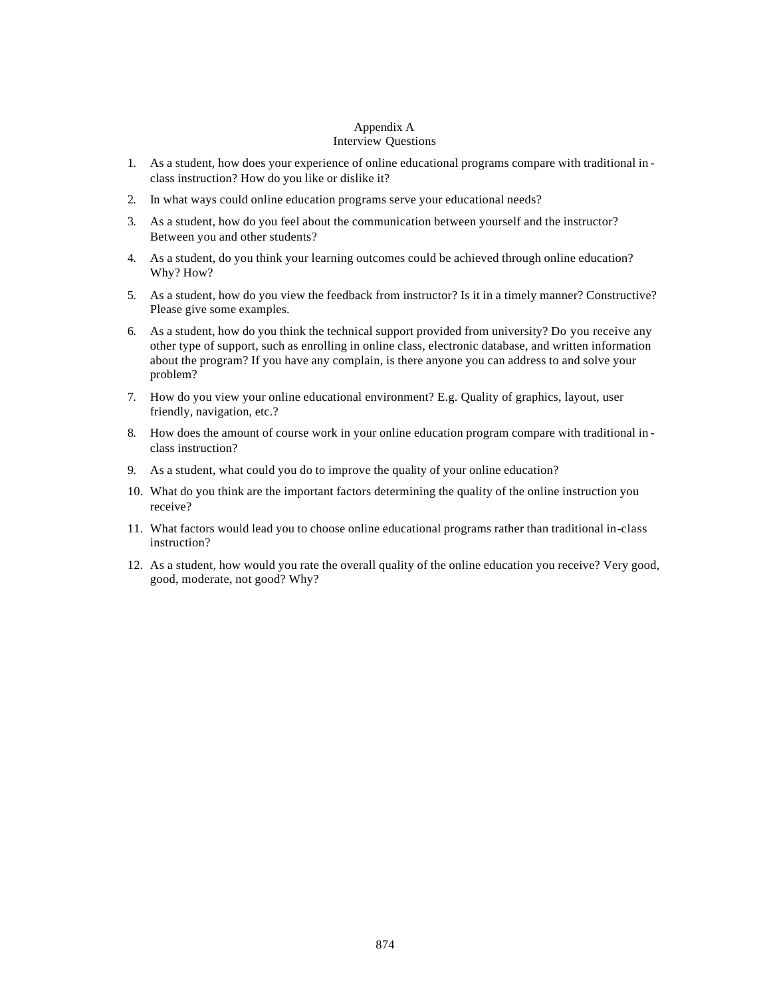#### Appendix A Interview Questions

- 1. As a student, how does your experience of online educational programs compare with traditional in class instruction? How do you like or dislike it?
- 2. In what ways could online education programs serve your educational needs?
- 3. As a student, how do you feel about the communication between yourself and the instructor? Between you and other students?
- 4. As a student, do you think your learning outcomes could be achieved through online education? Why? How?
- 5. As a student, how do you view the feedback from instructor? Is it in a timely manner? Constructive? Please give some examples.
- 6. As a student, how do you think the technical support provided from university? Do you receive any other type of support, such as enrolling in online class, electronic database, and written information about the program? If you have any complain, is there anyone you can address to and solve your problem?
- 7. How do you view your online educational environment? E.g. Quality of graphics, layout, user friendly, navigation, etc.?
- 8. How does the amount of course work in your online education program compare with traditional in class instruction?
- 9. As a student, what could you do to improve the quality of your online education?
- 10. What do you think are the important factors determining the quality of the online instruction you receive?
- 11. What factors would lead you to choose online educational programs rather than traditional in-class instruction?
- 12. As a student, how would you rate the overall quality of the online education you receive? Very good, good, moderate, not good? Why?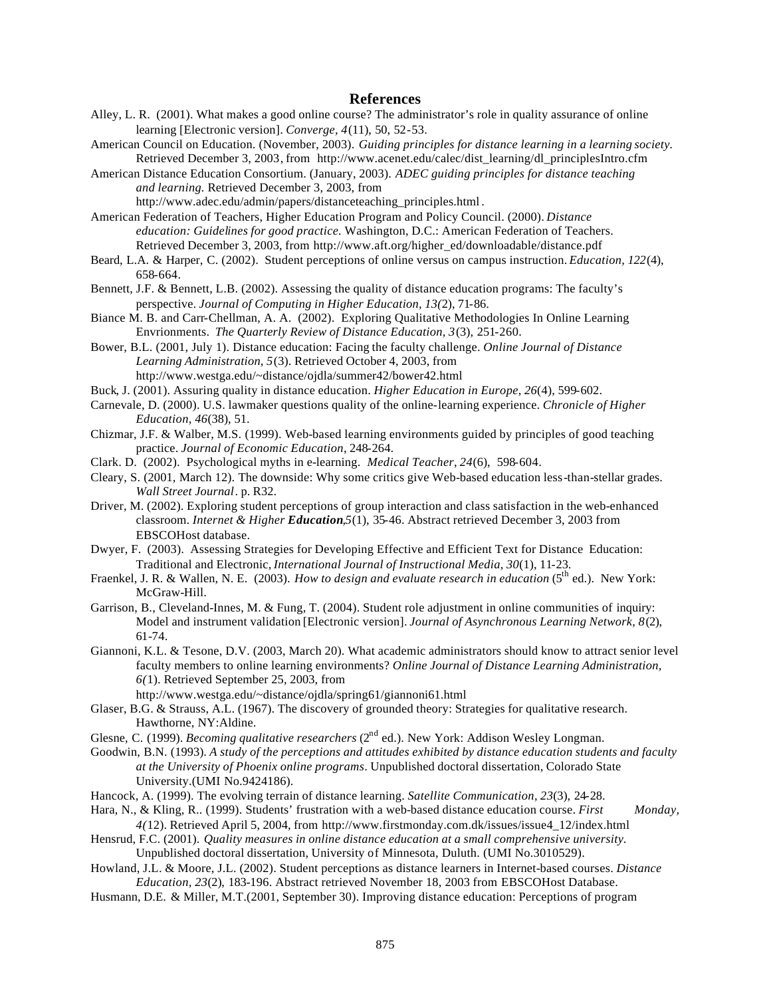### **References**

- Alley, L. R. (2001). What makes a good online course? The administrator's role in quality assurance of online learning [Electronic version]. *Converge, 4*(11), 50, 52-53.
- American Council on Education. (November, 2003). *Guiding principles for distance learning in a learning society.* Retrieved December 3, 2003, from http://www.acenet.edu/calec/dist\_learning/dl\_principlesIntro.cfm
- American Distance Education Consortium. (January, 2003). *ADEC guiding principles for distance teaching and learning.* Retrieved December 3, 2003, from http://www.adec.edu/admin/papers/distanceteaching\_principles.html .

American Federation of Teachers, Higher Education Program and Policy Council. (2000). *Distance education: Guidelines for good practice.* Washington, D.C.: American Federation of Teachers. Retrieved December 3, 2003, from http://www.aft.org/higher\_ed/downloadable/distance.pdf

- Beard, L.A. & Harper, C. (2002). Student perceptions of online versus on campus instruction. *Education, 122*(4), 658-664.
- Bennett, J.F. & Bennett, L.B. (2002). Assessing the quality of distance education programs: The faculty's perspective. *Journal of Computing in Higher Education, 13(*2), 71-86.
- Biance M. B. and Carr-Chellman, A. A. (2002). Exploring Qualitative Methodologies In Online Learning Envrionments. *The Quarterly Review of Distance Education, 3*(3), 251-260.
- Bower, B.L. (2001, July 1). Distance education: Facing the faculty challenge. *Online Journal of Distance Learning Administration, 5*(3). Retrieved October 4, 2003, from http://www.westga.edu/~distance/ojdla/summer42/bower42.html
- Buck, J. (2001). Assuring quality in distance education. *Higher Education in Europe, 26*(4), 599-602.
- Carnevale, D. (2000). U.S. lawmaker questions quality of the online-learning experience. *Chronicle of Higher Education, 46*(38), 51.
- Chizmar, J.F. & Walber, M.S. (1999). Web-based learning environments guided by principles of good teaching practice. *Journal of Economic Education*, 248-264.
- Clark. D. (2002). Psychological myths in e-learning. *Medical Teacher*, *24*(6), 598-604.
- Cleary, S. (2001, March 12). The downside: Why some critics give Web-based education less-than-stellar grades. *Wall Street Journal*. p. R32.
- Driver, M. (2002). Exploring student perceptions of group interaction and class satisfaction in the web-enhanced classroom. *Internet & Higher Education,5*(1), 35-46. Abstract retrieved December 3, 2003 from EBSCOHost database.
- Dwyer, F. (2003). Assessing Strategies for Developing Effective and Efficient Text for Distance Education: Traditional and Electronic, *International Journal of Instructional Media, 30*(1), 11-23.
- Fraenkel, J. R. & Wallen, N. E. (2003). *How to design and evaluate research in education* (5th ed.). New York: McGraw-Hill.
- Garrison, B., Cleveland-Innes, M. & Fung, T. (2004). Student role adjustment in online communities of inquiry: Model and instrument validation [Electronic version]. *Journal of Asynchronous Learning Network, 8*(2), 61-74.
- Giannoni, K.L. & Tesone, D.V. (2003, March 20). What academic administrators should know to attract senior level faculty members to online learning environments? *Online Journal of Distance Learning Administration, 6(*1). Retrieved September 25, 2003, from

http://www.westga.edu/~distance/ojdla/spring61/giannoni61.html

- Glaser, B.G. & Strauss, A.L. (1967). The discovery of grounded theory: Strategies for qualitative research. Hawthorne, NY:Aldine.
- Glesne, C. (1999). *Becoming qualitative researchers* (2<sup>nd</sup> ed.). New York: Addison Wesley Longman.
- Goodwin, B.N. (1993). *A study of the perceptions and attitudes exhibited by distance education students and faculty at the University of Phoenix online programs*. Unpublished doctoral dissertation, Colorado State University.(UMI No.9424186).
- Hancock, A. (1999). The evolving terrain of distance learning. *Satellite Communication, 23*(3), 24-28.
- Hara, N., & Kling, R.. (1999). Students' frustration with a web-based distance education course. *First Monday, 4(*12). Retrieved April 5, 2004, from http://www.firstmonday.com.dk/issues/issue4\_12/index.html
- Hensrud, F.C. (2001). *Quality measures in online distance education at a small comprehensive university.* Unpublished doctoral dissertation, University of Minnesota, Duluth. (UMI No.3010529).
- Howland, J.L. & Moore, J.L. (2002). Student perceptions as distance learners in Internet-based courses. *Distance Education, 23*(2), 183-196. Abstract retrieved November 18, 2003 from EBSCOHost Database.
- Husmann, D.E. & Miller, M.T.(2001, September 30). Improving distance education: Perceptions of program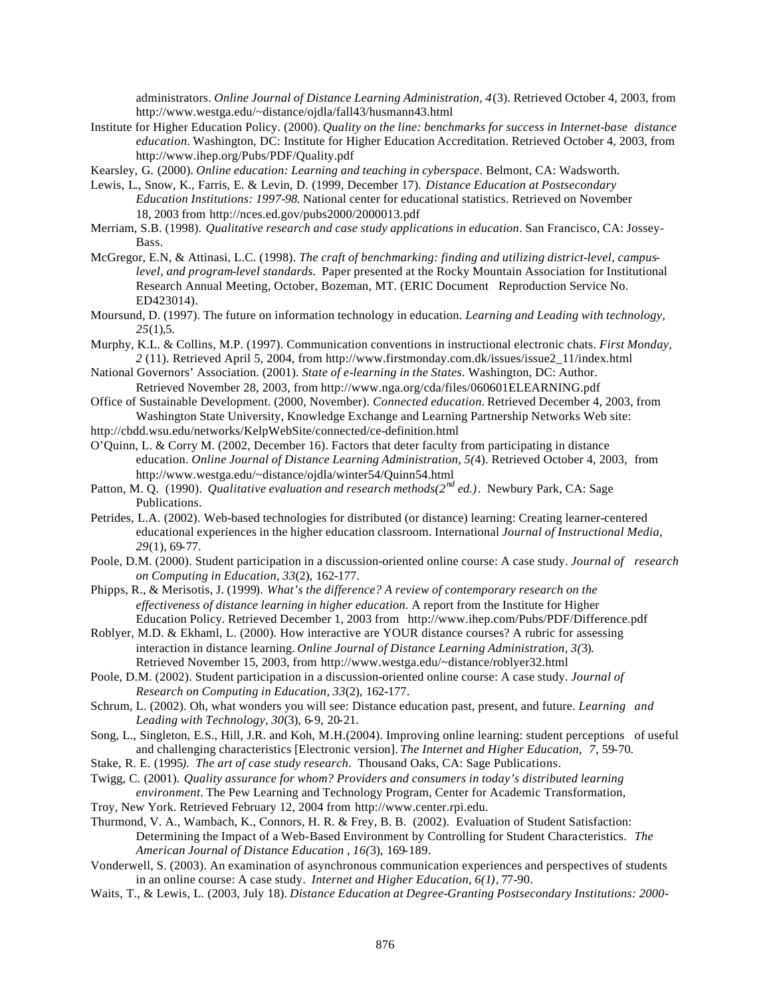administrators. *Online Journal of Distance Learning Administration, 4*(3). Retrieved October 4, 2003, from http://www.westga.edu/~distance/ojdla/fall43/husmann43.html

- Institute for Higher Education Policy. (2000). *Quality on the line: benchmarks for success in Internet-base distance education.* Washington, DC: Institute for Higher Education Accreditation. Retrieved October 4, 2003, from http://www.ihep.org/Pubs/PDF/Quality.pdf
- Kearsley, G. (2000). *Online education: Learning and teaching in cyberspace*. Belmont, CA: Wadsworth.
- Lewis, L., Snow, K., Farris, E. & Levin, D. (1999, December 17). *Distance Education at Postsecondary Education Institutions: 1997-98.* National center for educational statistics. Retrieved on November 18, 2003 from http://nces.ed.gov/pubs2000/2000013.pdf
- Merriam, S.B. (1998). *Qualitative research and case study applications in education*. San Francisco, CA: Jossey-Bass.
- McGregor, E.N, & Attinasi, L.C. (1998). *The craft of benchmarking: finding and utilizing district-level, campuslevel, and program-level standards.* Paper presented at the Rocky Mountain Association for Institutional Research Annual Meeting, October, Bozeman, MT. (ERIC Document Reproduction Service No. ED423014).
- Moursund, D. (1997). The future on information technology in education. *Learning and Leading with technology, 25*(1),5.
- Murphy, K.L. & Collins, M.P. (1997). Communication conventions in instructional electronic chats. *First Monday, 2* (11). Retrieved April 5, 2004, from http://www.firstmonday.com.dk/issues/issue2\_11/index.html
- National Governors' Association. (2001). *State of e-learning in the States.* Washington, DC: Author. Retrieved November 28, 2003, from http://www.nga.org/cda/files/060601ELEARNING.pdf
- Office of Sustainable Development. (2000, November). *Connected education.* Retrieved December 4, 2003, from Washington State University, Knowledge Exchange and Learning Partnership Networks Web site:
- http://cbdd.wsu.edu/networks/KelpWebSite/connected/ce-definition.html
- O'Quinn, L. & Corry M. (2002, December 16). Factors that deter faculty from participating in distance education. *Online Journal of Distance Learning Administration, 5(*4). Retrieved October 4, 2003, from http://www.westga.edu/~distance/ojdla/winter54/Quinn54.html
- Patton, M. Q. (1990). *Qualitative evaluation and research methods(2nd ed.)*. Newbury Park, CA: Sage Publications.
- Petrides, L.A. (2002). Web-based technologies for distributed (or distance) learning: Creating learner-centered educational experiences in the higher education classroom. International *Journal of Instructional Media, 29*(1), 69-77.
- Poole, D.M. (2000). Student participation in a discussion-oriented online course: A case study. *Journal of research on Computing in Education, 33*(2), 162-177.
- Phipps, R., & Merisotis, J. (1999). *What's the difference? A review of contemporary research on the effectiveness of distance learning in higher education.* A report from the Institute for Higher Education Policy. Retrieved December 1, 2003 from http://www.ihep.com/Pubs/PDF/Difference.pdf
- Roblyer, M.D. & Ekhaml, L. (2000). How interactive are YOUR distance courses? A rubric for assessing interaction in distance learning. *Online Journal of Distance Learning Administration, 3(*3). Retrieved November 15, 2003, from http://www.westga.edu/~distance/roblyer32.html
- Poole, D.M. (2002). Student participation in a discussion-oriented online course: A case study. *Journal of Research on Computing in Education, 33*(2), 162-177.
- Schrum, L. (2002). Oh, what wonders you will see: Distance education past, present, and future. *Learning and Leading with Technology, 30*(3), 6-9, 20-21.
- Song, L., Singleton, E.S., Hill, J.R. and Koh, M.H.(2004). Improving online learning: student perceptions of useful and challenging characteristics [Electronic version]. *The Internet and Higher Education, 7*, 59-70.
- Stake, R. E. (1995*). The art of case study research*. Thousand Oaks, CA: Sage Publications.
- Twigg, C. (2001). *Quality assurance for whom? Providers and consumers in today's distributed learning environment.* The Pew Learning and Technology Program, Center for Academic Transformation,
- Troy, New York. Retrieved February 12, 2004 from http://www.center.rpi.edu.
- Thurmond, V. A., Wambach, K., Connors, H. R. & Frey, B. B. (2002). Evaluation of Student Satisfaction: Determining the Impact of a Web-Based Environment by Controlling for Student Characteristics. *The American Journal of Distance Education , 16(*3), 169-189.
- Vonderwell, S. (2003). An examination of asynchronous communication experiences and perspectives of students in an online course: A case study. *Internet and Higher Education, 6(1),* 77-90.
- Waits, T., & Lewis, L. (2003, July 18). *Distance Education at Degree-Granting Postsecondary Institutions: 2000-*